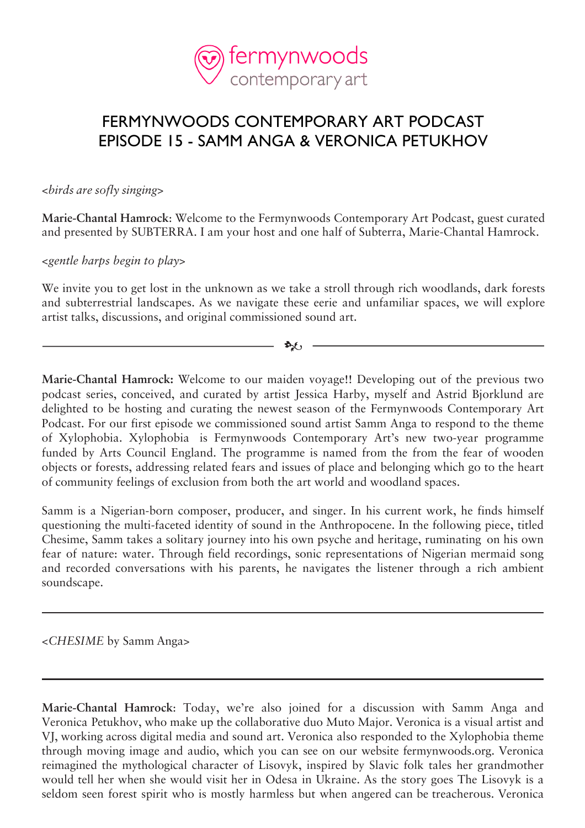

## FERMYNWOODS CONTEMPORARY ART PODCAST EPISODE 15 - SAMM ANGA & VERONICA PETUKHOV

<*birds are sofly singing*>

**Marie-Chantal Hamrock**: Welcome to the Fermynwoods Contemporary Art Podcast, guest curated and presented by SUBTERRA. I am your host and one half of Subterra, Marie-Chantal Hamrock.

<*gentle harps begin to play*>

We invite you to get lost in the unknown as we take a stroll through rich woodlands, dark forests and subterrestrial landscapes. As we navigate these eerie and unfamiliar spaces, we will explore artist talks, discussions, and original commissioned sound art.

 $\Delta_2(f)$  -

**Marie-Chantal Hamrock:** Welcome to our maiden voyage!! Developing out of the previous two podcast series, conceived, and curated by artist Jessica Harby, myself and Astrid Bjorklund are delighted to be hosting and curating the newest season of the Fermynwoods Contemporary Art Podcast. For our first episode we commissioned sound artist Samm Anga to respond to the theme of Xylophobia. Xylophobia is Fermynwoods Contemporary Art's new two-year programme funded by Arts Council England. The programme is named from the from the fear of wooden objects or forests, addressing related fears and issues of place and belonging which go to the heart of community feelings of exclusion from both the art world and woodland spaces.

Samm is a Nigerian-born composer, producer, and singer. In his current work, he finds himself questioning the multi-faceted identity of sound in the Anthropocene. In the following piece, titled Chesime, Samm takes a solitary journey into his own psyche and heritage, ruminating on his own fear of nature: water. Through field recordings, sonic representations of Nigerian mermaid song and recorded conversations with his parents, he navigates the listener through a rich ambient soundscape.

<*CHESIME* by Samm Anga>

**Marie-Chantal Hamrock**: Today, we're also joined for a discussion with Samm Anga and Veronica Petukhov, who make up the collaborative duo Muto Major. Veronica is a visual artist and VJ, working across digital media and sound art. Veronica also responded to the Xylophobia theme through moving image and audio, which you can see on our website fermynwoods.org. Veronica reimagined the mythological character of Lisovyk, inspired by Slavic folk tales her grandmother would tell her when she would visit her in Odesa in Ukraine. As the story goes The Lisovyk is a seldom seen forest spirit who is mostly harmless but when angered can be treacherous. Veronica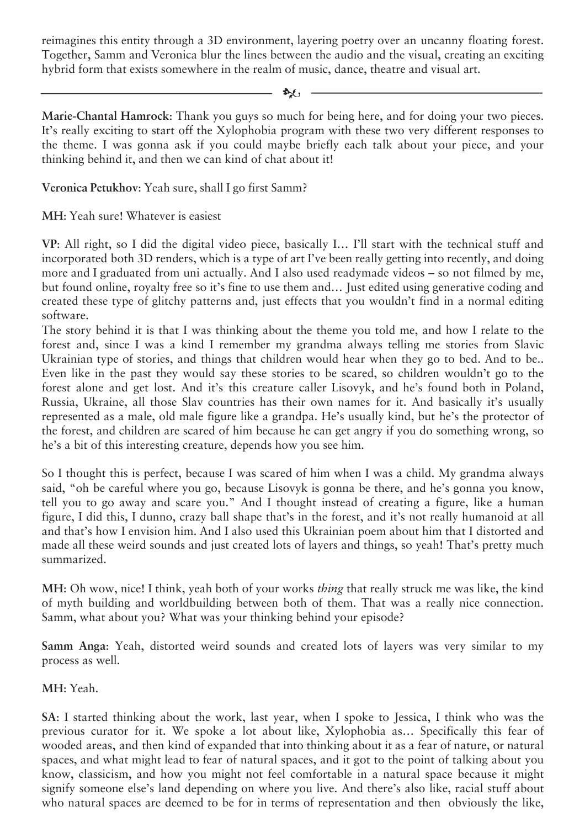reimagines this entity through a 3D environment, layering poetry over an uncanny floating forest. Together, Samm and Veronica blur the lines between the audio and the visual, creating an exciting hybrid form that exists somewhere in the realm of music, dance, theatre and visual art.

 $\mathcal{L}$ 

**Marie-Chantal Hamrock**: Thank you guys so much for being here, and for doing your two pieces. It's really exciting to start off the Xylophobia program with these two very different responses to the theme. I was gonna ask if you could maybe briefly each talk about your piece, and your thinking behind it, and then we can kind of chat about it!

## **Veronica Petukhov**: Yeah sure, shall I go first Samm?

**MH**: Yeah sure! Whatever is easiest

**VP**: All right, so I did the digital video piece, basically I… I'll start with the technical stuff and incorporated both 3D renders, which is a type of art I've been really getting into recently, and doing more and I graduated from uni actually. And I also used readymade videos – so not filmed by me, but found online, royalty free so it's fine to use them and… Just edited using generative coding and created these type of glitchy patterns and, just effects that you wouldn't find in a normal editing software.

The story behind it is that I was thinking about the theme you told me, and how I relate to the forest and, since I was a kind I remember my grandma always telling me stories from Slavic Ukrainian type of stories, and things that children would hear when they go to bed. And to be.. Even like in the past they would say these stories to be scared, so children wouldn't go to the forest alone and get lost. And it's this creature caller Lisovyk, and he's found both in Poland, Russia, Ukraine, all those Slav countries has their own names for it. And basically it's usually represented as a male, old male figure like a grandpa. He's usually kind, but he's the protector of the forest, and children are scared of him because he can get angry if you do something wrong, so he's a bit of this interesting creature, depends how you see him.

So I thought this is perfect, because I was scared of him when I was a child. My grandma always said, "oh be careful where you go, because Lisovyk is gonna be there, and he's gonna you know, tell you to go away and scare you." And I thought instead of creating a figure, like a human figure, I did this, I dunno, crazy ball shape that's in the forest, and it's not really humanoid at all and that's how I envision him. And I also used this Ukrainian poem about him that I distorted and made all these weird sounds and just created lots of layers and things, so yeah! That's pretty much summarized.

**MH**: Oh wow, nice! I think, yeah both of your works *thing* that really struck me was like, the kind of myth building and worldbuilding between both of them. That was a really nice connection. Samm, what about you? What was your thinking behind your episode?

**Samm Anga**: Yeah, distorted weird sounds and created lots of layers was very similar to my process as well.

**MH**: Yeah.

**SA**: I started thinking about the work, last year, when I spoke to Jessica, I think who was the previous curator for it. We spoke a lot about like, Xylophobia as… Specifically this fear of wooded areas, and then kind of expanded that into thinking about it as a fear of nature, or natural spaces, and what might lead to fear of natural spaces, and it got to the point of talking about you know, classicism, and how you might not feel comfortable in a natural space because it might signify someone else's land depending on where you live. And there's also like, racial stuff about who natural spaces are deemed to be for in terms of representation and then obviously the like,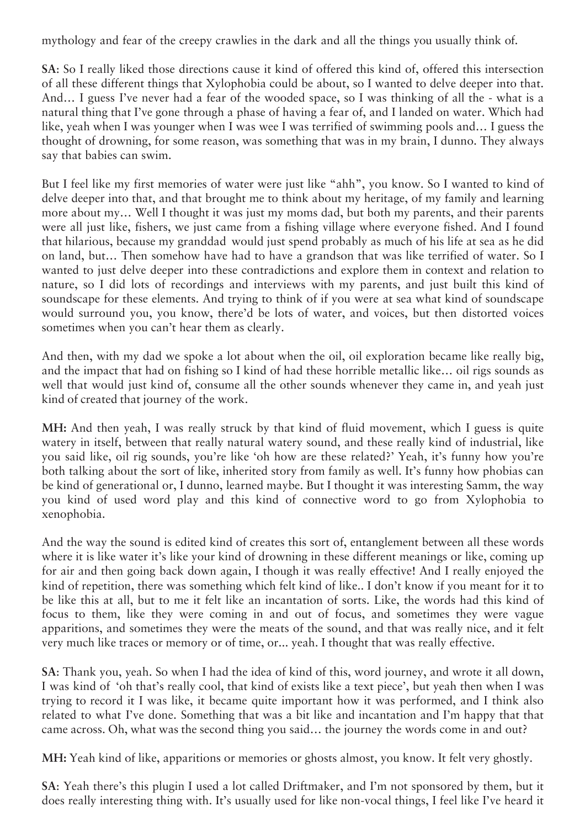mythology and fear of the creepy crawlies in the dark and all the things you usually think of.

**SA**: So I really liked those directions cause it kind of offered this kind of, offered this intersection of all these different things that Xylophobia could be about, so I wanted to delve deeper into that. And… I guess I've never had a fear of the wooded space, so I was thinking of all the - what is a natural thing that I've gone through a phase of having a fear of, and I landed on water. Which had like, yeah when I was younger when I was wee I was terrified of swimming pools and… I guess the thought of drowning, for some reason, was something that was in my brain, I dunno. They always say that babies can swim.

But I feel like my first memories of water were just like "ahh", you know. So I wanted to kind of delve deeper into that, and that brought me to think about my heritage, of my family and learning more about my… Well I thought it was just my moms dad, but both my parents, and their parents were all just like, fishers, we just came from a fishing village where everyone fished. And I found that hilarious, because my granddad would just spend probably as much of his life at sea as he did on land, but… Then somehow have had to have a grandson that was like terrified of water. So I wanted to just delve deeper into these contradictions and explore them in context and relation to nature, so I did lots of recordings and interviews with my parents, and just built this kind of soundscape for these elements. And trying to think of if you were at sea what kind of soundscape would surround you, you know, there'd be lots of water, and voices, but then distorted voices sometimes when you can't hear them as clearly.

And then, with my dad we spoke a lot about when the oil, oil exploration became like really big, and the impact that had on fishing so I kind of had these horrible metallic like… oil rigs sounds as well that would just kind of, consume all the other sounds whenever they came in, and yeah just kind of created that journey of the work.

**MH:** And then yeah, I was really struck by that kind of fluid movement, which I guess is quite watery in itself, between that really natural watery sound, and these really kind of industrial, like you said like, oil rig sounds, you're like 'oh how are these related?' Yeah, it's funny how you're both talking about the sort of like, inherited story from family as well. It's funny how phobias can be kind of generational or, I dunno, learned maybe. But I thought it was interesting Samm, the way you kind of used word play and this kind of connective word to go from Xylophobia to xenophobia.

And the way the sound is edited kind of creates this sort of, entanglement between all these words where it is like water it's like your kind of drowning in these different meanings or like, coming up for air and then going back down again, I though it was really effective! And I really enjoyed the kind of repetition, there was something which felt kind of like.. I don't know if you meant for it to be like this at all, but to me it felt like an incantation of sorts. Like, the words had this kind of focus to them, like they were coming in and out of focus, and sometimes they were vague apparitions, and sometimes they were the meats of the sound, and that was really nice, and it felt very much like traces or memory or of time, or... yeah. I thought that was really effective.

**SA**: Thank you, yeah. So when I had the idea of kind of this, word journey, and wrote it all down, I was kind of 'oh that's really cool, that kind of exists like a text piece', but yeah then when I was trying to record it I was like, it became quite important how it was performed, and I think also related to what I've done. Something that was a bit like and incantation and I'm happy that that came across. Oh, what was the second thing you said… the journey the words come in and out?

**MH:** Yeah kind of like, apparitions or memories or ghosts almost, you know. It felt very ghostly.

**SA**: Yeah there's this plugin I used a lot called Driftmaker, and I'm not sponsored by them, but it does really interesting thing with. It's usually used for like non-vocal things, I feel like I've heard it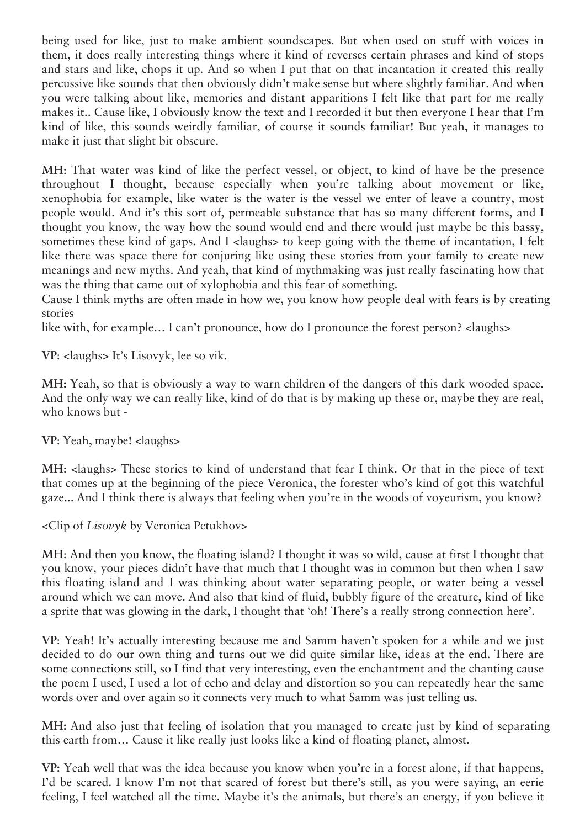being used for like, just to make ambient soundscapes. But when used on stuff with voices in them, it does really interesting things where it kind of reverses certain phrases and kind of stops and stars and like, chops it up. And so when I put that on that incantation it created this really percussive like sounds that then obviously didn't make sense but where slightly familiar. And when you were talking about like, memories and distant apparitions I felt like that part for me really makes it.. Cause like, I obviously know the text and I recorded it but then everyone I hear that I'm kind of like, this sounds weirdly familiar, of course it sounds familiar! But yeah, it manages to make it just that slight bit obscure.

**MH**: That water was kind of like the perfect vessel, or object, to kind of have be the presence throughout I thought, because especially when you're talking about movement or like, xenophobia for example, like water is the water is the vessel we enter of leave a country, most people would. And it's this sort of, permeable substance that has so many different forms, and I thought you know, the way how the sound would end and there would just maybe be this bassy, sometimes these kind of gaps. And I <laughs> to keep going with the theme of incantation, I felt like there was space there for conjuring like using these stories from your family to create new meanings and new myths. And yeah, that kind of mythmaking was just really fascinating how that was the thing that came out of xylophobia and this fear of something.

Cause I think myths are often made in how we, you know how people deal with fears is by creating stories

like with, for example... I can't pronounce, how do I pronounce the forest person? < laughs>

**VP**: <laughs> It's Lisovyk, lee so vik.

**MH:** Yeah, so that is obviously a way to warn children of the dangers of this dark wooded space. And the only way we can really like, kind of do that is by making up these or, maybe they are real, who knows but -

**VP**: Yeah, maybe! <laughs>

**MH**: <laughs> These stories to kind of understand that fear I think. Or that in the piece of text that comes up at the beginning of the piece Veronica, the forester who's kind of got this watchful gaze... And I think there is always that feeling when you're in the woods of voyeurism, you know?

<Clip of *Lisovyk* by Veronica Petukhov>

**MH**: And then you know, the floating island? I thought it was so wild, cause at first I thought that you know, your pieces didn't have that much that I thought was in common but then when I saw this floating island and I was thinking about water separating people, or water being a vessel around which we can move. And also that kind of fluid, bubbly figure of the creature, kind of like a sprite that was glowing in the dark, I thought that 'oh! There's a really strong connection here'.

**VP**: Yeah! It's actually interesting because me and Samm haven't spoken for a while and we just decided to do our own thing and turns out we did quite similar like, ideas at the end. There are some connections still, so I find that very interesting, even the enchantment and the chanting cause the poem I used, I used a lot of echo and delay and distortion so you can repeatedly hear the same words over and over again so it connects very much to what Samm was just telling us.

**MH:** And also just that feeling of isolation that you managed to create just by kind of separating this earth from… Cause it like really just looks like a kind of floating planet, almost.

**VP:** Yeah well that was the idea because you know when you're in a forest alone, if that happens, I'd be scared. I know I'm not that scared of forest but there's still, as you were saying, an eerie feeling, I feel watched all the time. Maybe it's the animals, but there's an energy, if you believe it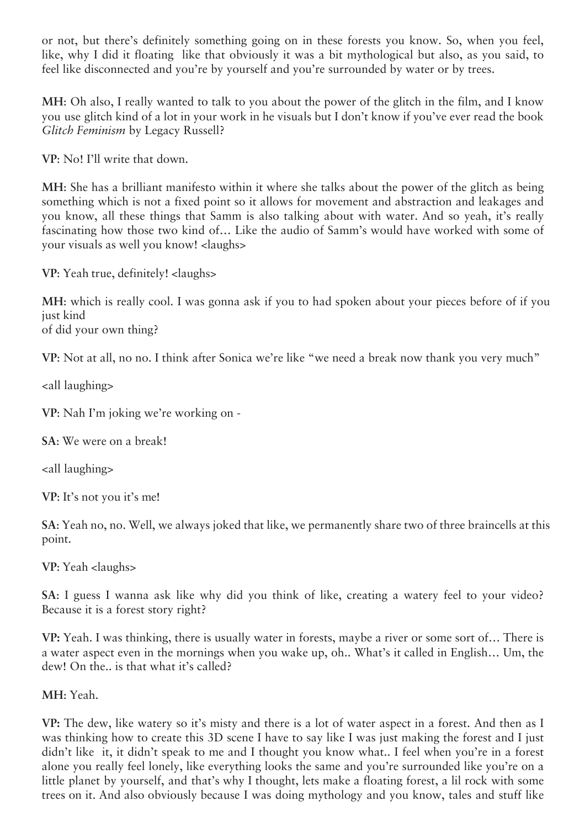or not, but there's definitely something going on in these forests you know. So, when you feel, like, why I did it floating like that obviously it was a bit mythological but also, as you said, to feel like disconnected and you're by yourself and you're surrounded by water or by trees.

**MH**: Oh also, I really wanted to talk to you about the power of the glitch in the film, and I know you use glitch kind of a lot in your work in he visuals but I don't know if you've ever read the book *Glitch Feminism* by Legacy Russell?

**VP**: No! I'll write that down.

**MH**: She has a brilliant manifesto within it where she talks about the power of the glitch as being something which is not a fixed point so it allows for movement and abstraction and leakages and you know, all these things that Samm is also talking about with water. And so yeah, it's really fascinating how those two kind of… Like the audio of Samm's would have worked with some of your visuals as well you know! <laughs>

**VP**: Yeah true, definitely! <laughs>

**MH**: which is really cool. I was gonna ask if you to had spoken about your pieces before of if you just kind of did your own thing?

**VP**: Not at all, no no. I think after Sonica we're like "we need a break now thank you very much"

<all laughing>

**VP**: Nah I'm joking we're working on -

**SA**: We were on a break!

<all laughing>

**VP**: It's not you it's me!

**SA**: Yeah no, no. Well, we always joked that like, we permanently share two of three braincells at this point.

**VP**: Yeah <laughs>

**SA**: I guess I wanna ask like why did you think of like, creating a watery feel to your video? Because it is a forest story right?

**VP:** Yeah. I was thinking, there is usually water in forests, maybe a river or some sort of… There is a water aspect even in the mornings when you wake up, oh.. What's it called in English… Um, the dew! On the.. is that what it's called?

**MH**: Yeah.

**VP:** The dew, like watery so it's misty and there is a lot of water aspect in a forest. And then as I was thinking how to create this 3D scene I have to say like I was just making the forest and I just didn't like it, it didn't speak to me and I thought you know what.. I feel when you're in a forest alone you really feel lonely, like everything looks the same and you're surrounded like you're on a little planet by yourself, and that's why I thought, lets make a floating forest, a lil rock with some trees on it. And also obviously because I was doing mythology and you know, tales and stuff like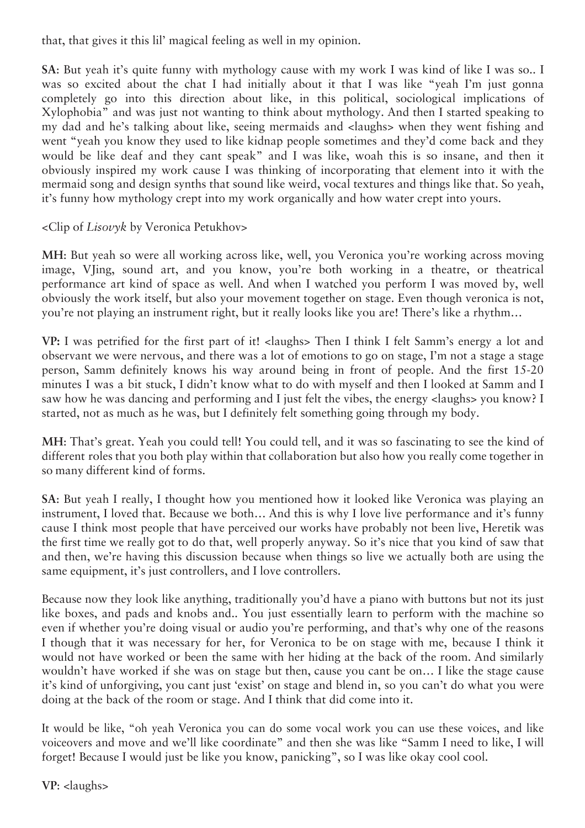that, that gives it this lil' magical feeling as well in my opinion.

**SA**: But yeah it's quite funny with mythology cause with my work I was kind of like I was so.. I was so excited about the chat I had initially about it that I was like "yeah I'm just gonna completely go into this direction about like, in this political, sociological implications of Xylophobia" and was just not wanting to think about mythology. And then I started speaking to my dad and he's talking about like, seeing mermaids and <laughs> when they went fishing and went "yeah you know they used to like kidnap people sometimes and they'd come back and they would be like deaf and they cant speak" and I was like, woah this is so insane, and then it obviously inspired my work cause I was thinking of incorporating that element into it with the mermaid song and design synths that sound like weird, vocal textures and things like that. So yeah, it's funny how mythology crept into my work organically and how water crept into yours.

<Clip of *Lisovyk* by Veronica Petukhov>

**MH**: But yeah so were all working across like, well, you Veronica you're working across moving image, VJing, sound art, and you know, you're both working in a theatre, or theatrical performance art kind of space as well. And when I watched you perform I was moved by, well obviously the work itself, but also your movement together on stage. Even though veronica is not, you're not playing an instrument right, but it really looks like you are! There's like a rhythm…

**VP:** I was petrified for the first part of it! <laughs> Then I think I felt Samm's energy a lot and observant we were nervous, and there was a lot of emotions to go on stage, I'm not a stage a stage person, Samm definitely knows his way around being in front of people. And the first 15-20 minutes I was a bit stuck, I didn't know what to do with myself and then I looked at Samm and I saw how he was dancing and performing and I just felt the vibes, the energy <laughs> you know? I started, not as much as he was, but I definitely felt something going through my body.

**MH**: That's great. Yeah you could tell! You could tell, and it was so fascinating to see the kind of different roles that you both play within that collaboration but also how you really come together in so many different kind of forms.

**SA**: But yeah I really, I thought how you mentioned how it looked like Veronica was playing an instrument, I loved that. Because we both… And this is why I love live performance and it's funny cause I think most people that have perceived our works have probably not been live, Heretik was the first time we really got to do that, well properly anyway. So it's nice that you kind of saw that and then, we're having this discussion because when things so live we actually both are using the same equipment, it's just controllers, and I love controllers.

Because now they look like anything, traditionally you'd have a piano with buttons but not its just like boxes, and pads and knobs and.. You just essentially learn to perform with the machine so even if whether you're doing visual or audio you're performing, and that's why one of the reasons I though that it was necessary for her, for Veronica to be on stage with me, because I think it would not have worked or been the same with her hiding at the back of the room. And similarly wouldn't have worked if she was on stage but then, cause you cant be on… I like the stage cause it's kind of unforgiving, you cant just 'exist' on stage and blend in, so you can't do what you were doing at the back of the room or stage. And I think that did come into it.

It would be like, "oh yeah Veronica you can do some vocal work you can use these voices, and like voiceovers and move and we'll like coordinate" and then she was like "Samm I need to like, I will forget! Because I would just be like you know, panicking", so I was like okay cool cool.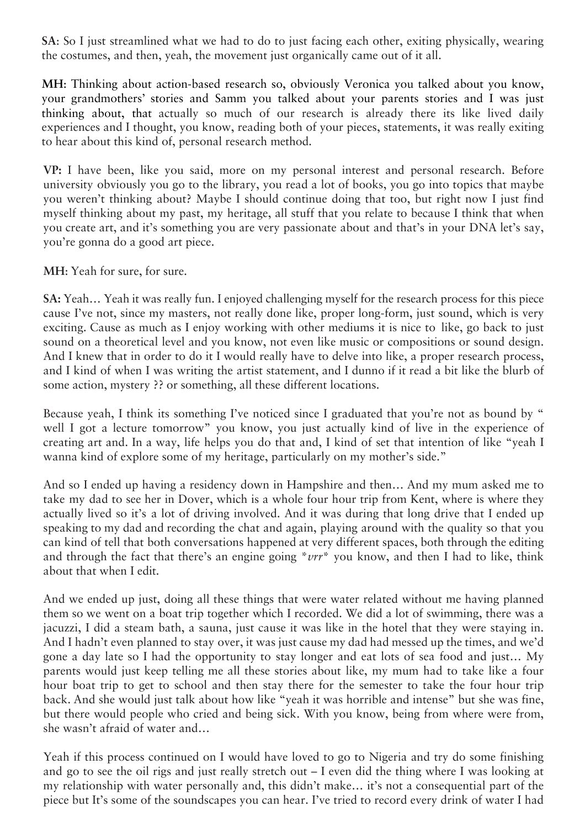**SA**: So I just streamlined what we had to do to just facing each other, exiting physically, wearing the costumes, and then, yeah, the movement just organically came out of it all.

**MH**: Thinking about action-based research so, obviously Veronica you talked about you know, your grandmothers' stories and Samm you talked about your parents stories and I was just thinking about, that actually so much of our research is already there its like lived daily experiences and I thought, you know, reading both of your pieces, statements, it was really exiting to hear about this kind of, personal research method.

**VP:** I have been, like you said, more on my personal interest and personal research. Before university obviously you go to the library, you read a lot of books, you go into topics that maybe you weren't thinking about? Maybe I should continue doing that too, but right now I just find myself thinking about my past, my heritage, all stuff that you relate to because I think that when you create art, and it's something you are very passionate about and that's in your DNA let's say, you're gonna do a good art piece.

**MH**: Yeah for sure, for sure.

**SA:** Yeah… Yeah it was really fun. I enjoyed challenging myself for the research process for this piece cause I've not, since my masters, not really done like, proper long-form, just sound, which is very exciting. Cause as much as I enjoy working with other mediums it is nice to like, go back to just sound on a theoretical level and you know, not even like music or compositions or sound design. And I knew that in order to do it I would really have to delve into like, a proper research process, and I kind of when I was writing the artist statement, and I dunno if it read a bit like the blurb of some action, mystery ?? or something, all these different locations.

Because yeah, I think its something I've noticed since I graduated that you're not as bound by " well I got a lecture tomorrow" you know, you just actually kind of live in the experience of creating art and. In a way, life helps you do that and, I kind of set that intention of like "yeah I wanna kind of explore some of my heritage, particularly on my mother's side."

And so I ended up having a residency down in Hampshire and then… And my mum asked me to take my dad to see her in Dover, which is a whole four hour trip from Kent, where is where they actually lived so it's a lot of driving involved. And it was during that long drive that I ended up speaking to my dad and recording the chat and again, playing around with the quality so that you can kind of tell that both conversations happened at very different spaces, both through the editing and through the fact that there's an engine going \**vrr*\* you know, and then I had to like, think about that when I edit.

And we ended up just, doing all these things that were water related without me having planned them so we went on a boat trip together which I recorded. We did a lot of swimming, there was a jacuzzi, I did a steam bath, a sauna, just cause it was like in the hotel that they were staying in. And I hadn't even planned to stay over, it was just cause my dad had messed up the times, and we'd gone a day late so I had the opportunity to stay longer and eat lots of sea food and just… My parents would just keep telling me all these stories about like, my mum had to take like a four hour boat trip to get to school and then stay there for the semester to take the four hour trip back. And she would just talk about how like "yeah it was horrible and intense" but she was fine, but there would people who cried and being sick. With you know, being from where were from, she wasn't afraid of water and…

Yeah if this process continued on I would have loved to go to Nigeria and try do some finishing and go to see the oil rigs and just really stretch out – I even did the thing where I was looking at my relationship with water personally and, this didn't make… it's not a consequential part of the piece but It's some of the soundscapes you can hear. I've tried to record every drink of water I had